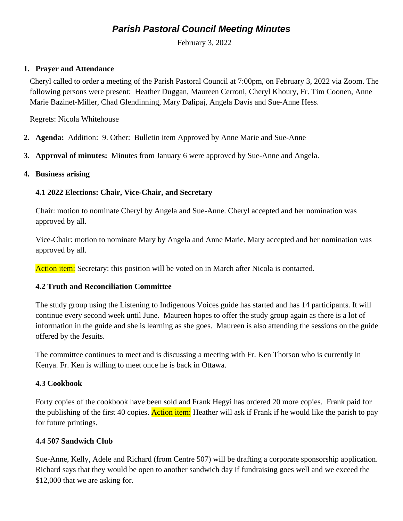# *Parish Pastoral Council Meeting Minutes*

February 3, 2022

## **1. Prayer and Attendance**

Cheryl called to order a meeting of the Parish Pastoral Council at 7:00pm, on February 3, 2022 via Zoom. The following persons were present: Heather Duggan, Maureen Cerroni, Cheryl Khoury, Fr. Tim Coonen, Anne Marie Bazinet-Miller, Chad Glendinning, Mary Dalipaj, Angela Davis and Sue-Anne Hess.

Regrets: Nicola Whitehouse

- **2. Agenda:** Addition: 9. Other: Bulletin item Approved by Anne Marie and Sue-Anne
- **3. Approval of minutes:** Minutes from January 6 were approved by Sue-Anne and Angela.

#### **4. Business arising**

# **4.1 2022 Elections: Chair, Vice-Chair, and Secretary**

Chair: motion to nominate Cheryl by Angela and Sue-Anne. Cheryl accepted and her nomination was approved by all.

Vice-Chair: motion to nominate Mary by Angela and Anne Marie. Mary accepted and her nomination was approved by all.

Action item: Secretary: this position will be voted on in March after Nicola is contacted.

#### **4.2 Truth and Reconciliation Committee**

The study group using the Listening to Indigenous Voices guide has started and has 14 participants. It will continue every second week until June. Maureen hopes to offer the study group again as there is a lot of information in the guide and she is learning as she goes. Maureen is also attending the sessions on the guide offered by the Jesuits.

The committee continues to meet and is discussing a meeting with Fr. Ken Thorson who is currently in Kenya. Fr. Ken is willing to meet once he is back in Ottawa.

# **4.3 Cookbook**

Forty copies of the cookbook have been sold and Frank Hegyi has ordered 20 more copies. Frank paid for the publishing of the first 40 copies. Action item: Heather will ask if Frank if he would like the parish to pay for future printings.

# **4.4 507 Sandwich Club**

Sue-Anne, Kelly, Adele and Richard (from Centre 507) will be drafting a corporate sponsorship application. Richard says that they would be open to another sandwich day if fundraising goes well and we exceed the \$12,000 that we are asking for.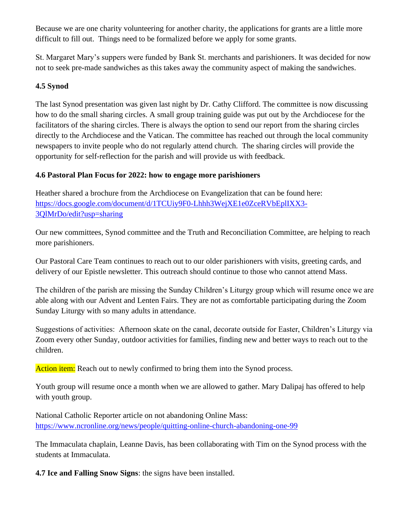Because we are one charity volunteering for another charity, the applications for grants are a little more difficult to fill out. Things need to be formalized before we apply for some grants.

St. Margaret Mary's suppers were funded by Bank St. merchants and parishioners. It was decided for now not to seek pre-made sandwiches as this takes away the community aspect of making the sandwiches.

# **4.5 Synod**

The last Synod presentation was given last night by Dr. Cathy Clifford. The committee is now discussing how to do the small sharing circles. A small group training guide was put out by the Archdiocese for the facilitators of the sharing circles. There is always the option to send our report from the sharing circles directly to the Archdiocese and the Vatican. The committee has reached out through the local community newspapers to invite people who do not regularly attend church. The sharing circles will provide the opportunity for self-reflection for the parish and will provide us with feedback.

# **4.6 Pastoral Plan Focus for 2022: how to engage more parishioners**

Heather shared a brochure from the Archdiocese on Evangelization that can be found here: [https://docs.google.com/document/d/1TCUiy9F0-Lhhh3WejXE1e0ZceRVbEplIXX3-](https://docs.google.com/document/d/1TCUiy9F0-Lhhh3WejXE1e0ZceRVbEplIXX3-3QlMrDo/edit?usp=sharing) [3QlMrDo/edit?usp=sharing](https://docs.google.com/document/d/1TCUiy9F0-Lhhh3WejXE1e0ZceRVbEplIXX3-3QlMrDo/edit?usp=sharing)

Our new committees, Synod committee and the Truth and Reconciliation Committee, are helping to reach more parishioners.

Our Pastoral Care Team continues to reach out to our older parishioners with visits, greeting cards, and delivery of our Epistle newsletter. This outreach should continue to those who cannot attend Mass.

The children of the parish are missing the Sunday Children's Liturgy group which will resume once we are able along with our Advent and Lenten Fairs. They are not as comfortable participating during the Zoom Sunday Liturgy with so many adults in attendance.

Suggestions of activities: Afternoon skate on the canal, decorate outside for Easter, Children's Liturgy via Zoom every other Sunday, outdoor activities for families, finding new and better ways to reach out to the children.

Action item: Reach out to newly confirmed to bring them into the Synod process.

Youth group will resume once a month when we are allowed to gather. Mary Dalipaj has offered to help with youth group.

National Catholic Reporter article on not abandoning Online Mass: <https://www.ncronline.org/news/people/quitting-online-church-abandoning-one-99>

The Immaculata chaplain, Leanne Davis, has been collaborating with Tim on the Synod process with the students at Immaculata.

**4.7 Ice and Falling Snow Signs**: the signs have been installed.